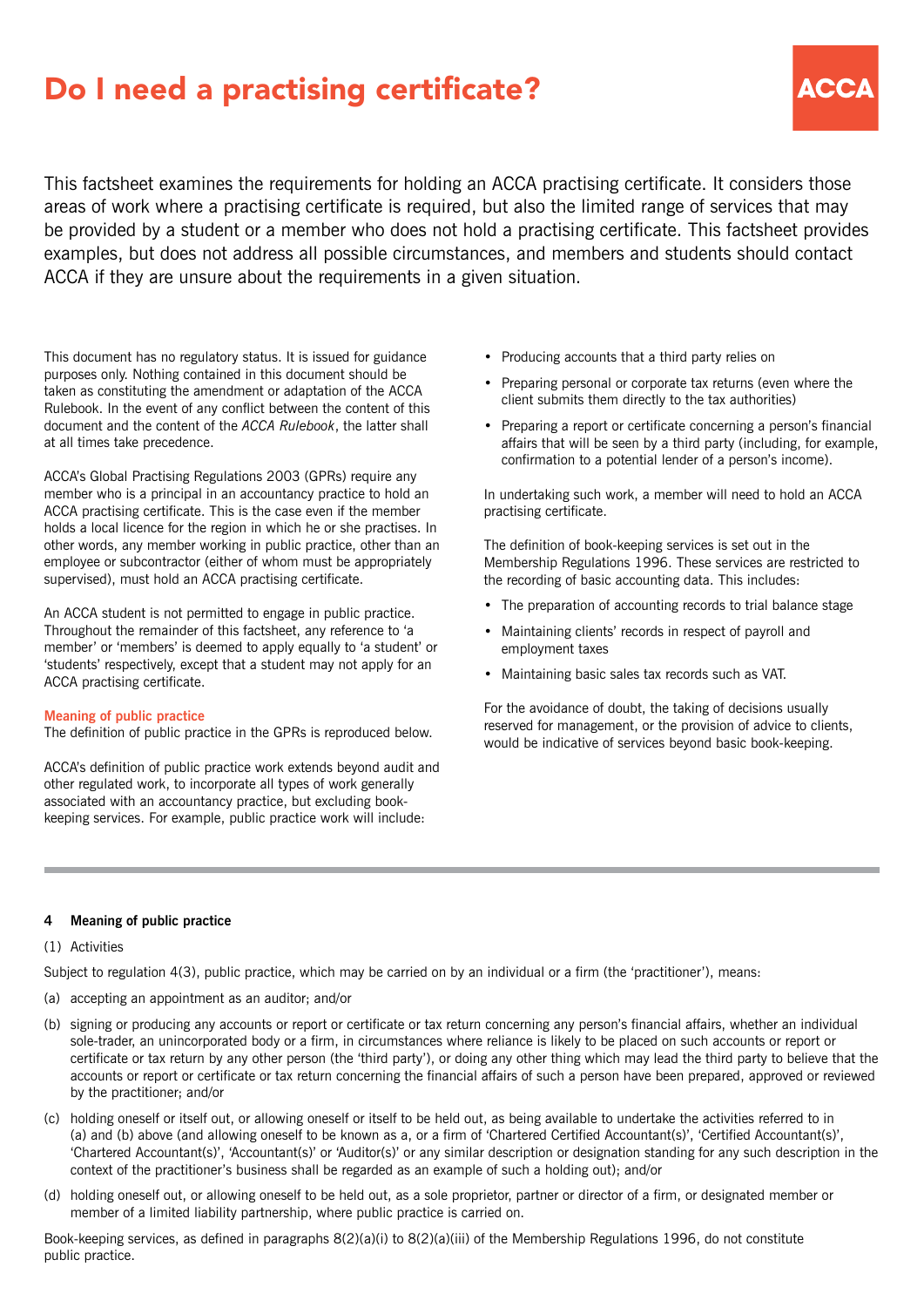# Do I need a practising certificate?



This factsheet examines the requirements for holding an ACCA practising certificate. It considers those areas of work where a practising certificate is required, but also the limited range of services that may be provided by a student or a member who does not hold a practising certificate. This factsheet provides examples, but does not address all possible circumstances, and members and students should contact ACCA if they are unsure about the requirements in a given situation.

This document has no regulatory status. It is issued for guidance purposes only. Nothing contained in this document should be taken as constituting the amendment or adaptation of the ACCA Rulebook. In the event of any conflict between the content of this document and the content of the *ACCA Rulebook*, the latter shall at all times take precedence.

ACCA's Global Practising Regulations 2003 (GPRs) require any member who is a principal in an accountancy practice to hold an ACCA practising certificate. This is the case even if the member holds a local licence for the region in which he or she practises. In other words, any member working in public practice, other than an employee or subcontractor (either of whom must be appropriately supervised), must hold an ACCA practising certificate.

An ACCA student is not permitted to engage in public practice. Throughout the remainder of this factsheet, any reference to 'a member' or 'members' is deemed to apply equally to 'a student' or 'students' respectively, except that a student may not apply for an ACCA practising certificate.

#### **Meaning of public practice**

The definition of public practice in the GPRs is reproduced below.

ACCA's definition of public practice work extends beyond audit and other regulated work, to incorporate all types of work generally associated with an accountancy practice, but excluding bookkeeping services. For example, public practice work will include:

- Producing accounts that a third party relies on
- Preparing personal or corporate tax returns (even where the client submits them directly to the tax authorities)
- Preparing a report or certificate concerning a person's financial affairs that will be seen by a third party (including, for example, confirmation to a potential lender of a person's income).

In undertaking such work, a member will need to hold an ACCA practising certificate.

The definition of book-keeping services is set out in the Membership Regulations 1996. These services are restricted to the recording of basic accounting data. This includes:

- The preparation of accounting records to trial balance stage
- Maintaining clients' records in respect of payroll and employment taxes
- Maintaining basic sales tax records such as VAT.

For the avoidance of doubt, the taking of decisions usually reserved for management, or the provision of advice to clients, would be indicative of services beyond basic book-keeping.

## **4 Meaning of public practice**

## (1) Activities

Subject to regulation 4(3), public practice, which may be carried on by an individual or a firm (the 'practitioner'), means:

- (a) accepting an appointment as an auditor; and/or
- (b) signing or producing any accounts or report or certificate or tax return concerning any person's financial affairs, whether an individual sole-trader, an unincorporated body or a firm, in circumstances where reliance is likely to be placed on such accounts or report or certificate or tax return by any other person (the 'third party'), or doing any other thing which may lead the third party to believe that the accounts or report or certificate or tax return concerning the financial affairs of such a person have been prepared, approved or reviewed by the practitioner; and/or
- (c) holding oneself or itself out, or allowing oneself or itself to be held out, as being available to undertake the activities referred to in (a) and (b) above (and allowing oneself to be known as a, or a firm of 'Chartered Certified Accountant(s)', 'Certified Accountant(s)', 'Chartered Accountant(s)', 'Accountant(s)' or 'Auditor(s)' or any similar description or designation standing for any such description in the context of the practitioner's business shall be regarded as an example of such a holding out); and/or
- (d) holding oneself out, or allowing oneself to be held out, as a sole proprietor, partner or director of a firm, or designated member or member of a limited liability partnership, where public practice is carried on.

Book-keeping services, as defined in paragraphs 8(2)(a)(i) to 8(2)(a)(iii) of the Membership Regulations 1996, do not constitute public practice.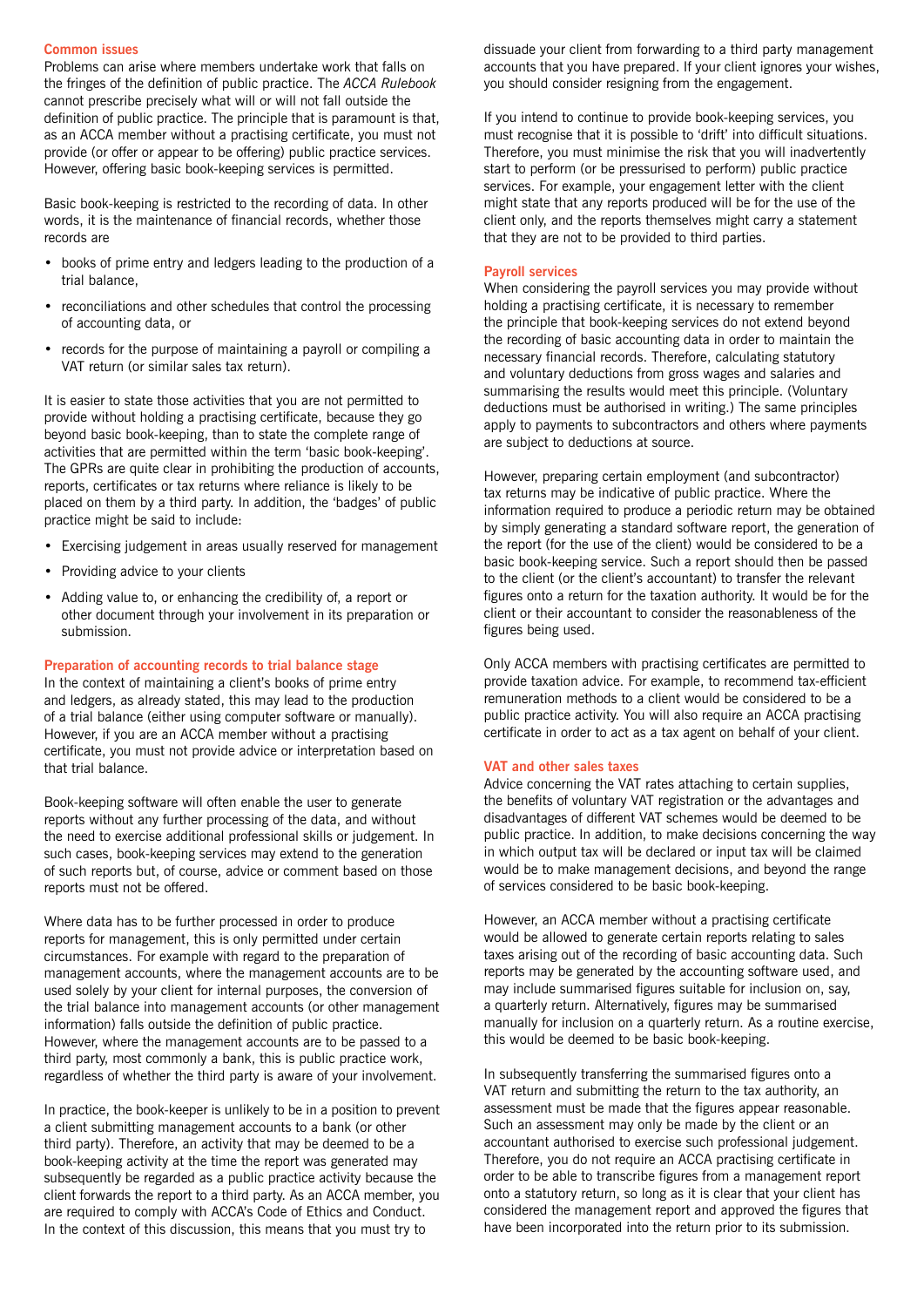#### **Common issues**

Problems can arise where members undertake work that falls on the fringes of the definition of public practice. The *ACCA Rulebook* cannot prescribe precisely what will or will not fall outside the definition of public practice. The principle that is paramount is that, as an ACCA member without a practising certificate, you must not provide (or offer or appear to be offering) public practice services. However, offering basic book-keeping services is permitted.

Basic book-keeping is restricted to the recording of data. In other words, it is the maintenance of financial records, whether those records are

- books of prime entry and ledgers leading to the production of a trial balance,
- reconciliations and other schedules that control the processing of accounting data, or
- records for the purpose of maintaining a payroll or compiling a VAT return (or similar sales tax return).

It is easier to state those activities that you are not permitted to provide without holding a practising certificate, because they go beyond basic book-keeping, than to state the complete range of activities that are permitted within the term 'basic book-keeping'. The GPRs are quite clear in prohibiting the production of accounts, reports, certificates or tax returns where reliance is likely to be placed on them by a third party. In addition, the 'badges' of public practice might be said to include:

- Exercising judgement in areas usually reserved for management
- Providing advice to your clients
- Adding value to, or enhancing the credibility of, a report or other document through your involvement in its preparation or submission.

#### **Preparation of accounting records to trial balance stage**

In the context of maintaining a client's books of prime entry and ledgers, as already stated, this may lead to the production of a trial balance (either using computer software or manually). However, if you are an ACCA member without a practising certificate, you must not provide advice or interpretation based on that trial balance.

Book-keeping software will often enable the user to generate reports without any further processing of the data, and without the need to exercise additional professional skills or judgement. In such cases, book-keeping services may extend to the generation of such reports but, of course, advice or comment based on those reports must not be offered.

Where data has to be further processed in order to produce reports for management, this is only permitted under certain circumstances. For example with regard to the preparation of management accounts, where the management accounts are to be used solely by your client for internal purposes, the conversion of the trial balance into management accounts (or other management information) falls outside the definition of public practice. However, where the management accounts are to be passed to a third party, most commonly a bank, this is public practice work, regardless of whether the third party is aware of your involvement.

In practice, the book-keeper is unlikely to be in a position to prevent a client submitting management accounts to a bank (or other third party). Therefore, an activity that may be deemed to be a book-keeping activity at the time the report was generated may subsequently be regarded as a public practice activity because the client forwards the report to a third party. As an ACCA member, you are required to comply with ACCA's Code of Ethics and Conduct. In the context of this discussion, this means that you must try to

dissuade your client from forwarding to a third party management accounts that you have prepared. If your client ignores your wishes, you should consider resigning from the engagement.

If you intend to continue to provide book-keeping services, you must recognise that it is possible to 'drift' into difficult situations. Therefore, you must minimise the risk that you will inadvertently start to perform (or be pressurised to perform) public practice services. For example, your engagement letter with the client might state that any reports produced will be for the use of the client only, and the reports themselves might carry a statement that they are not to be provided to third parties.

### **Payroll services**

When considering the payroll services you may provide without holding a practising certificate, it is necessary to remember the principle that book-keeping services do not extend beyond the recording of basic accounting data in order to maintain the necessary financial records. Therefore, calculating statutory and voluntary deductions from gross wages and salaries and summarising the results would meet this principle. (Voluntary deductions must be authorised in writing.) The same principles apply to payments to subcontractors and others where payments are subject to deductions at source.

However, preparing certain employment (and subcontractor) tax returns may be indicative of public practice. Where the information required to produce a periodic return may be obtained by simply generating a standard software report, the generation of the report (for the use of the client) would be considered to be a basic book-keeping service. Such a report should then be passed to the client (or the client's accountant) to transfer the relevant figures onto a return for the taxation authority. It would be for the client or their accountant to consider the reasonableness of the figures being used.

Only ACCA members with practising certificates are permitted to provide taxation advice. For example, to recommend tax-efficient remuneration methods to a client would be considered to be a public practice activity. You will also require an ACCA practising certificate in order to act as a tax agent on behalf of your client.

### **VAT and other sales taxes**

Advice concerning the VAT rates attaching to certain supplies, the benefits of voluntary VAT registration or the advantages and disadvantages of different VAT schemes would be deemed to be public practice. In addition, to make decisions concerning the way in which output tax will be declared or input tax will be claimed would be to make management decisions, and beyond the range of services considered to be basic book-keeping.

However, an ACCA member without a practising certificate would be allowed to generate certain reports relating to sales taxes arising out of the recording of basic accounting data. Such reports may be generated by the accounting software used, and may include summarised figures suitable for inclusion on, say, a quarterly return. Alternatively, figures may be summarised manually for inclusion on a quarterly return. As a routine exercise, this would be deemed to be basic book-keeping.

In subsequently transferring the summarised figures onto a VAT return and submitting the return to the tax authority, an assessment must be made that the figures appear reasonable. Such an assessment may only be made by the client or an accountant authorised to exercise such professional judgement. Therefore, you do not require an ACCA practising certificate in order to be able to transcribe figures from a management report onto a statutory return, so long as it is clear that your client has considered the management report and approved the figures that have been incorporated into the return prior to its submission.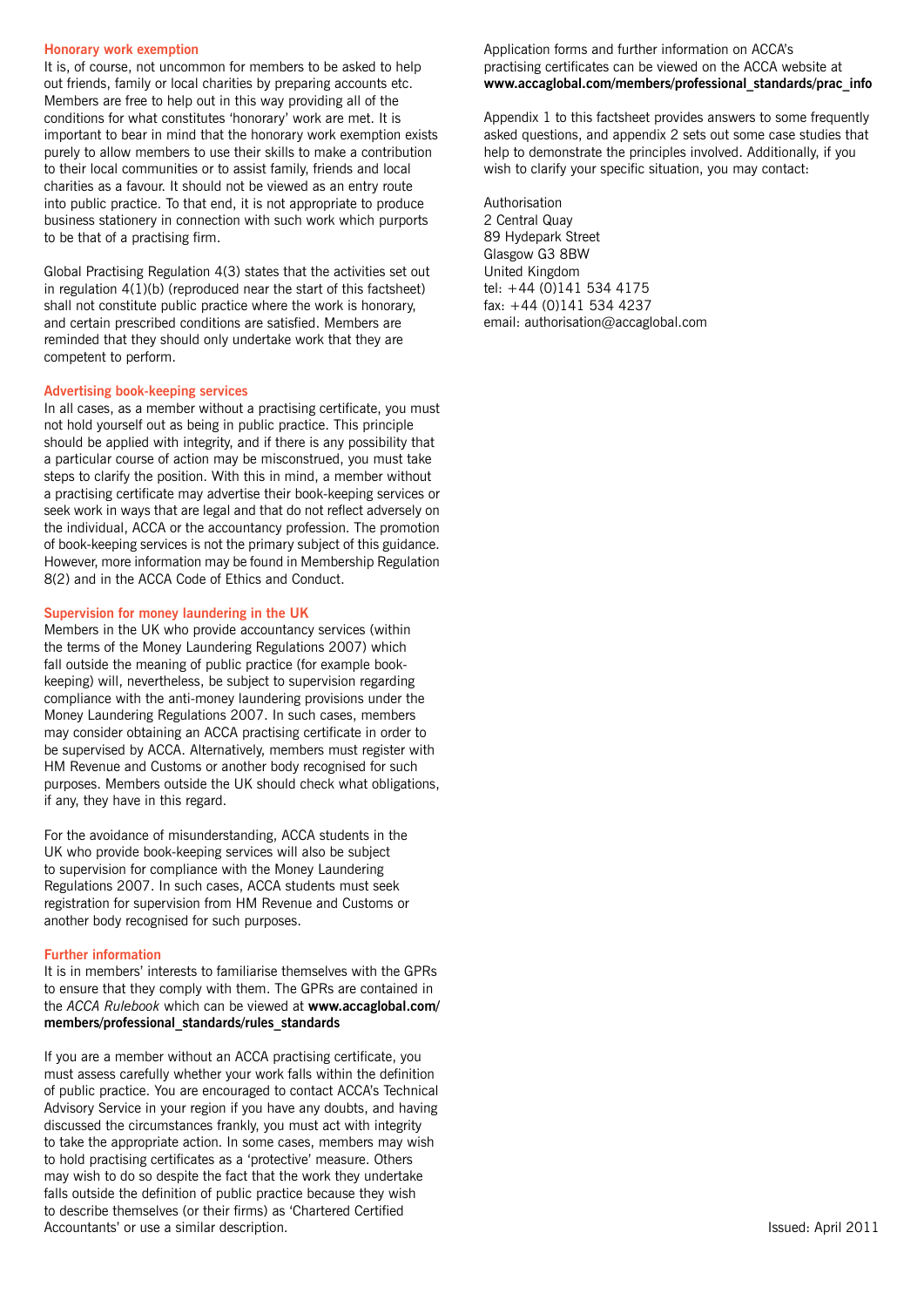#### **Honorary work exemption**

It is, of course, not uncommon for members to be asked to help out friends, family or local charities by preparing accounts etc. Members are free to help out in this way providing all of the conditions for what constitutes 'honorary' work are met. It is important to bear in mind that the honorary work exemption exists purely to allow members to use their skills to make a contribution to their local communities or to assist family, friends and local charities as a favour. It should not be viewed as an entry route into public practice. To that end, it is not appropriate to produce business stationery in connection with such work which purports to be that of a practising firm.

Global Practising Regulation 4(3) states that the activities set out in regulation 4(1)(b) (reproduced near the start of this factsheet) shall not constitute public practice where the work is honorary, and certain prescribed conditions are satisfied. Members are reminded that they should only undertake work that they are competent to perform.

### **Advertising book-keeping services**

In all cases, as a member without a practising certificate, you must not hold yourself out as being in public practice. This principle should be applied with integrity, and if there is any possibility that a particular course of action may be misconstrued, you must take steps to clarify the position. With this in mind, a member without a practising certificate may advertise their book-keeping services or seek work in ways that are legal and that do not reflect adversely on the individual, ACCA or the accountancy profession. The promotion of book-keeping services is not the primary subject of this guidance. However, more information may be found in Membership Regulation 8(2) and in the ACCA Code of Ethics and Conduct.

#### **Supervision for money laundering in the UK**

Members in the UK who provide accountancy services (within the terms of the Money Laundering Regulations 2007) which fall outside the meaning of public practice (for example bookkeeping) will, nevertheless, be subject to supervision regarding compliance with the anti-money laundering provisions under the Money Laundering Regulations 2007. In such cases, members may consider obtaining an ACCA practising certificate in order to be supervised by ACCA. Alternatively, members must register with HM Revenue and Customs or another body recognised for such purposes. Members outside the UK should check what obligations, if any, they have in this regard.

For the avoidance of misunderstanding, ACCA students in the UK who provide book-keeping services will also be subject to supervision for compliance with the Money Laundering Regulations 2007. In such cases, ACCA students must seek registration for supervision from HM Revenue and Customs or another body recognised for such purposes.

#### **Further information**

It is in members' interests to familiarise themselves with the GPRs to ensure that they comply with them. The GPRs are contained in the *ACCA Rulebook* which can be viewed at **[www.accaglobal.com/](http://www.accaglobal.com/members/professional_standards/rules_standards) [members/professional\\_standards/rules\\_standards](http://www.accaglobal.com/members/professional_standards/rules_standards)**

If you are a member without an ACCA practising certificate, you must assess carefully whether your work falls within the definition of public practice. You are encouraged to contact ACCA's Technical Advisory Service in your region if you have any doubts, and having discussed the circumstances frankly, you must act with integrity to take the appropriate action. In some cases, members may wish to hold practising certificates as a 'protective' measure. Others may wish to do so despite the fact that the work they undertake falls outside the definition of public practice because they wish to describe themselves (or their firms) as 'Chartered Certified Accountants' or use a similar description.

## Application forms and further information on ACCA's practising certificates can be viewed on the ACCA website at **[www.accaglobal.com/members/professional\\_standards/prac\\_info](http://www.accaglobal.com/members/professional_standards/prac_info)**

Appendix 1 to this factsheet provides answers to some frequently asked questions, and appendix 2 sets out some case studies that help to demonstrate the principles involved. Additionally, if you wish to clarify your specific situation, you may contact:

Authorisation 2 Central Quay 89 Hydepark Street Glasgow G3 8BW United Kingdom tel: +44 (0)141 534 4175 fax: +44 (0)141 534 4237 email: authorisation@accaglobal.com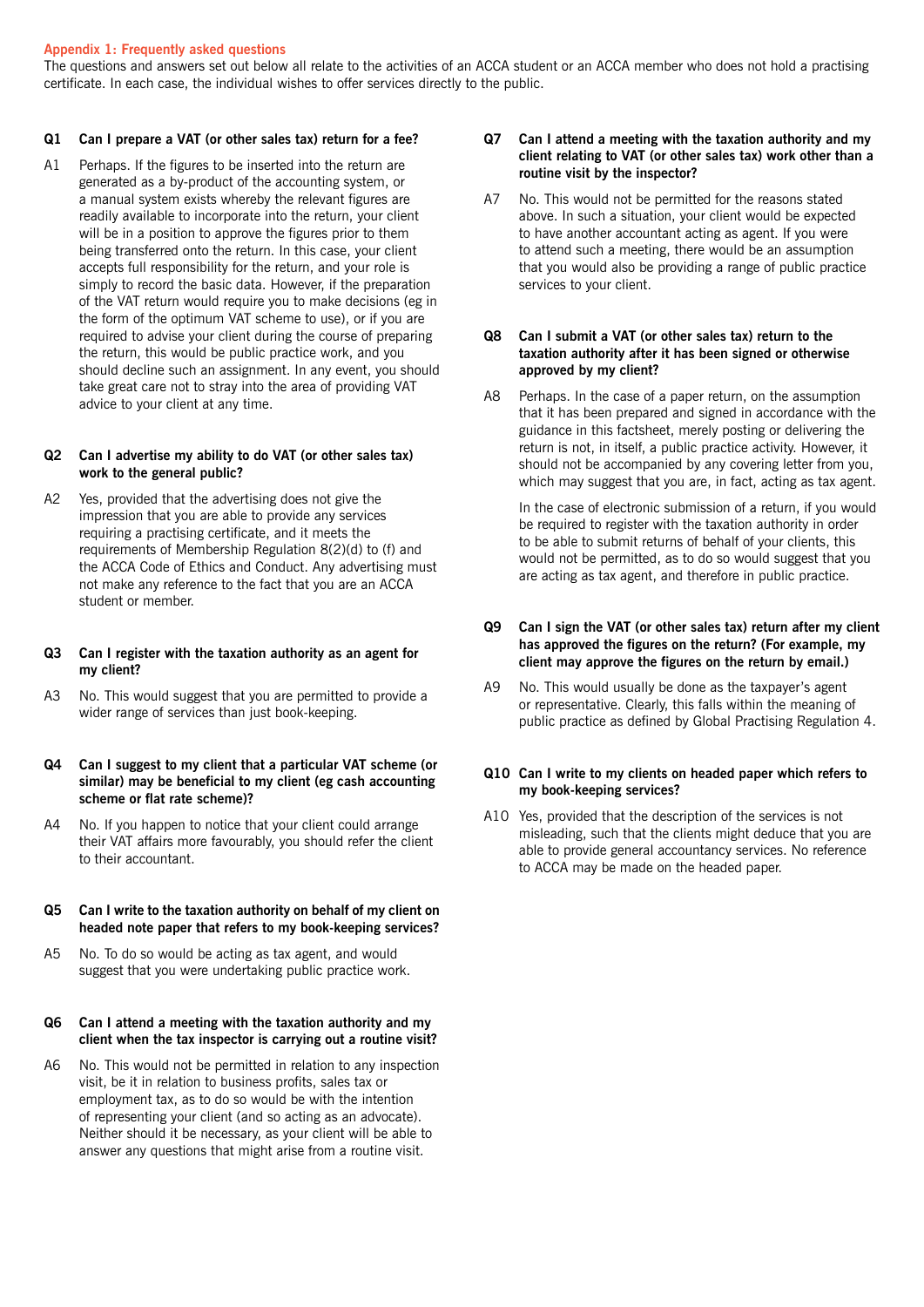## **Appendix 1: Frequently asked questions**

The questions and answers set out below all relate to the activities of an ACCA student or an ACCA member who does not hold a practising certificate. In each case, the individual wishes to offer services directly to the public.

## **Q1 Can I prepare a VAT (or other sales tax) return for a fee?**

A1 Perhaps. If the figures to be inserted into the return are generated as a by-product of the accounting system, or a manual system exists whereby the relevant figures are readily available to incorporate into the return, your client will be in a position to approve the figures prior to them being transferred onto the return. In this case, your client accepts full responsibility for the return, and your role is simply to record the basic data. However, if the preparation of the VAT return would require you to make decisions (eg in the form of the optimum VAT scheme to use), or if you are required to advise your client during the course of preparing the return, this would be public practice work, and you should decline such an assignment. In any event, you should take great care not to stray into the area of providing VAT advice to your client at any time.

## **Q2 Can I advertise my ability to do VAT (or other sales tax) work to the general public?**

A2 Yes, provided that the advertising does not give the impression that you are able to provide any services requiring a practising certificate, and it meets the requirements of Membership Regulation 8(2)(d) to (f) and the ACCA Code of Ethics and Conduct. Any advertising must not make any reference to the fact that you are an ACCA student or member.

## **Q3 Can I register with the taxation authority as an agent for my client?**

A3 No. This would suggest that you are permitted to provide a wider range of services than just book-keeping.

# **Q4 Can I suggest to my client that a particular VAT scheme (or similar) may be beneficial to my client (eg cash accounting scheme or flat rate scheme)?**

A4 No. If you happen to notice that your client could arrange their VAT affairs more favourably, you should refer the client to their accountant.

## **Q5 Can I write to the taxation authority on behalf of my client on headed note paper that refers to my book-keeping services?**

A5 No. To do so would be acting as tax agent, and would suggest that you were undertaking public practice work.

### **Q6 Can I attend a meeting with the taxation authority and my client when the tax inspector is carrying out a routine visit?**

A6 No. This would not be permitted in relation to any inspection visit, be it in relation to business profits, sales tax or employment tax, as to do so would be with the intention of representing your client (and so acting as an advocate). Neither should it be necessary, as your client will be able to answer any questions that might arise from a routine visit.

# **Q7 Can I attend a meeting with the taxation authority and my client relating to VAT (or other sales tax) work other than a routine visit by the inspector?**

A7 No. This would not be permitted for the reasons stated above. In such a situation, your client would be expected to have another accountant acting as agent. If you were to attend such a meeting, there would be an assumption that you would also be providing a range of public practice services to your client.

# **Q8 Can I submit a VAT (or other sales tax) return to the taxation authority after it has been signed or otherwise approved by my client?**

A8 Perhaps. In the case of a paper return, on the assumption that it has been prepared and signed in accordance with the guidance in this factsheet, merely posting or delivering the return is not, in itself, a public practice activity. However, it should not be accompanied by any covering letter from you, which may suggest that you are, in fact, acting as tax agent.

In the case of electronic submission of a return, if you would be required to register with the taxation authority in order to be able to submit returns of behalf of your clients, this would not be permitted, as to do so would suggest that you are acting as tax agent, and therefore in public practice.

# **Q9 Can I sign the VAT (or other sales tax) return after my client has approved the figures on the return? (For example, my client may approve the figures on the return by email.)**

A9 No. This would usually be done as the taxpayer's agent or representative. Clearly, this falls within the meaning of public practice as defined by Global Practising Regulation 4.

## **Q10 Can I write to my clients on headed paper which refers to my book-keeping services?**

A10 Yes, provided that the description of the services is not misleading, such that the clients might deduce that you are able to provide general accountancy services. No reference to ACCA may be made on the headed paper.